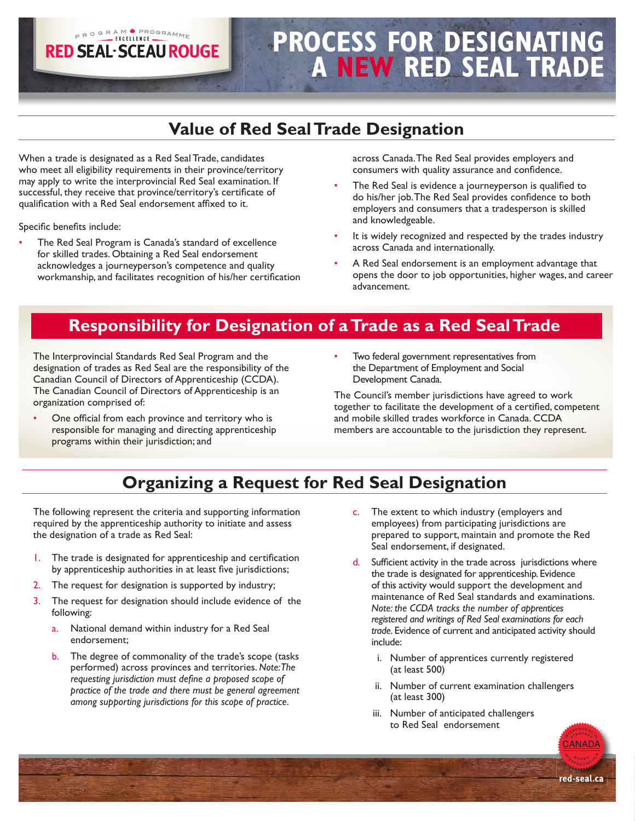# **PROCESS FOR DESIGNATING A NEW RED SEAL TRADE**

# **Value of Red Seal Trade Designation**

When a trade is designated as a Red Seal Trade, candidates who meet all eligibility requirements in their province/territory may apply to write the interprovincial Red Seal examination. If successful, they receive that province/territory's certificate of qualification with a Red Seal endorsement affixed to it.

PROGRAM FROGRAMME **RED SEAL·SCEAU ROUGE** 

Specific benefits include:

• The Red Seal Program is Canada's standard of excellence for skilled trades. Obtaining a Red Seal endorsement acknowledges a journeyperson's competence and quality workmanship, and facilitates recognition of his/her certification across Canada. The Red Seal provides employers and consumers with quality assurance and confidence.

- The Red Seal is evidence a journeyperson is qualified to do his/her job. The Red Seal provides confidence to both employers and consumers that a tradesperson is skilled and knowledgeable.
- It is widely recognized and respected by the trades industry across Canada and internationally.
- A Red Seal endorsement is an employment advantage that opens the door to job opportunities, higher wages, and career advancement.

## **Responsibility for Designation of a Trade as a Red Seal Trade**

The Interprovincial Standards Red Seal Program and the designation of trades as Red Seal are the responsibility of the Canadian Council of Directors of Apprenticeship (CCDA). The Canadian Council of Directors of Apprenticeship is an organization comprised of:

- One official from each province and territory who is responsible for managing and directing apprenticeship programs within their jurisdiction; and
- Two federal government representatives from the Department of Employment and Social Development Canada.

The Council's member jurisdictions have agreed to work together to facilitate the development of a certified, competent and mobile skilled trades workforce in Canada. CCDA members are accountable to the jurisdiction they represent.

# **Organizing a Request for Red Seal Designation**

The following represent the criteria and supporting information required by the apprenticeship authority to initiate and assess the designation of a trade as Red Seal:

- 1. The trade is designated for apprenticeship and certification by apprenticeship authorities in at least five jurisdictions;
- The request for designation is supported by industry;
- 3. The request for designation should include evidence of the following:
	- a. National demand within industry for a Red Seal endorsement;
	- b. The degree of commonality of the trade's scope (tasks performed) across provinces and territories. *Note: The requesting jurisdiction must define a proposed scope of practice of the trade and there must be general agreement among supporting jurisdictions for this scope of practice.*
- c. The extent to which industry (employers and employees) from participating jurisdictions are prepared to support, maintain and promote the Red Seal endorsement, if designated.
- d. Sufficient activity in the trade across jurisdictions where the trade is designated for apprenticeship. Evidence of this activity would support the development and maintenance of Red Seal standards and examinations. *Note: the CCDA tracks the number of apprentices registered and writings of Red Seal examinations for each trade.* Evidence of current and anticipated activity should include:
	- i. Number of apprentices currently registered (at least 500)
	- ii. Number of current examination challengers (at least 300)
	- iii. Number of anticipated challengers to Red Seal endorsement

**ANADA**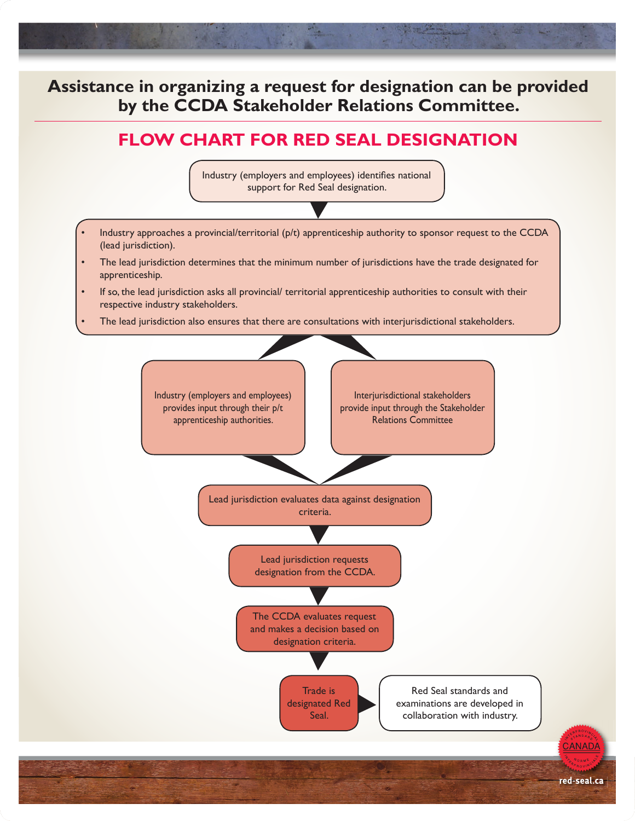### **Assistance in organizing a request for designation can be provided by the CCDA Stakeholder Relations Committee.**

# **FLOW CHART FOR RED SEAL DESIGNATION**

Industry (employers and employees) identifies national support for Red Seal designation.

- Industry approaches a provincial/territorial (p/t) apprenticeship authority to sponsor request to the CCDA (lead jurisdiction).
- The lead jurisdiction determines that the minimum number of jurisdictions have the trade designated for apprenticeship.
- If so, the lead jurisdiction asks all provincial/ territorial apprenticeship authorities to consult with their respective industry stakeholders.
- The lead jurisdiction also ensures that there are consultations with interjurisdictional stakeholders.

Industry (employers and employees) provides input through their p/t apprenticeship authorities.

Interjurisdictional stakeholders provide input through the Stakeholder Relations Committee

Lead jurisdiction evaluates data against designation criteria.

> Lead jurisdiction requests designation from the CCDA.

The CCDA evaluates request and makes a decision based on designation criteria.

> Trade is designated Red Seal.

Red Seal standards and examinations are developed in collaboration with industry.

red-seal.ca

CANADA